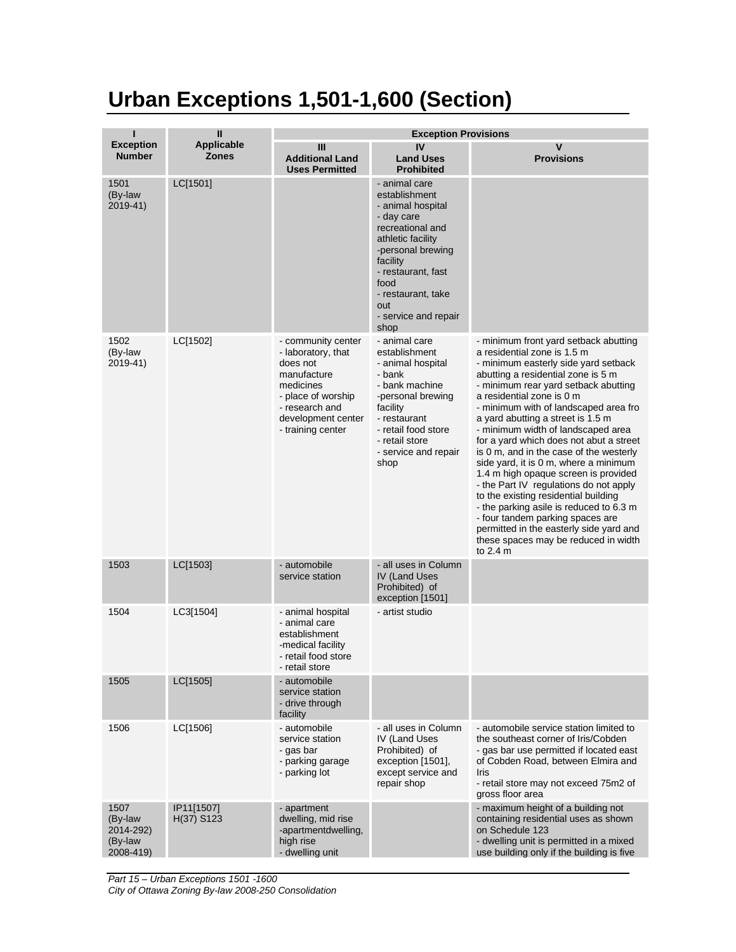## **Urban Exceptions 1,501-1,600 (Section)**

| ı                                                    | Ш                                 | <b>Exception Provisions</b>                                                                                                                                         |                                                                                                                                                                                                                                        |                                                                                                                                                                                                                                                                                                                                                                                                                                                                                                                                                                                                                                                                                                                                                                                              |  |
|------------------------------------------------------|-----------------------------------|---------------------------------------------------------------------------------------------------------------------------------------------------------------------|----------------------------------------------------------------------------------------------------------------------------------------------------------------------------------------------------------------------------------------|----------------------------------------------------------------------------------------------------------------------------------------------------------------------------------------------------------------------------------------------------------------------------------------------------------------------------------------------------------------------------------------------------------------------------------------------------------------------------------------------------------------------------------------------------------------------------------------------------------------------------------------------------------------------------------------------------------------------------------------------------------------------------------------------|--|
| <b>Exception</b><br><b>Number</b>                    | <b>Applicable</b><br><b>Zones</b> | Ш<br><b>Additional Land</b><br><b>Uses Permitted</b>                                                                                                                | IV<br><b>Land Uses</b><br><b>Prohibited</b>                                                                                                                                                                                            | V<br><b>Provisions</b>                                                                                                                                                                                                                                                                                                                                                                                                                                                                                                                                                                                                                                                                                                                                                                       |  |
| 1501<br>(By-law<br>2019-41)                          | LC[1501]                          |                                                                                                                                                                     | - animal care<br>establishment<br>- animal hospital<br>- day care<br>recreational and<br>athletic facility<br>-personal brewing<br>facility<br>- restaurant, fast<br>food<br>- restaurant, take<br>out<br>- service and repair<br>shop |                                                                                                                                                                                                                                                                                                                                                                                                                                                                                                                                                                                                                                                                                                                                                                                              |  |
| 1502<br>(By-law<br>2019-41)                          | LC[1502]                          | - community center<br>- laboratory, that<br>does not<br>manufacture<br>medicines<br>- place of worship<br>- research and<br>development center<br>- training center | - animal care<br>establishment<br>- animal hospital<br>- bank<br>- bank machine<br>-personal brewing<br>facility<br>- restaurant<br>- retail food store<br>- retail store<br>- service and repair<br>shop                              | - minimum front yard setback abutting<br>a residential zone is 1.5 m<br>- minimum easterly side yard setback<br>abutting a residential zone is 5 m<br>- minimum rear yard setback abutting<br>a residential zone is 0 m<br>- minimum with of landscaped area fro<br>a yard abutting a street is 1.5 m<br>- minimum width of landscaped area<br>for a yard which does not abut a street<br>is 0 m, and in the case of the westerly<br>side yard, it is 0 m, where a minimum<br>1.4 m high opaque screen is provided<br>- the Part IV regulations do not apply<br>to the existing residential building<br>- the parking asile is reduced to 6.3 m<br>- four tandem parking spaces are<br>permitted in the easterly side yard and<br>these spaces may be reduced in width<br>to $2.4 \text{ m}$ |  |
| 1503                                                 | LC[1503]                          | - automobile<br>service station                                                                                                                                     | - all uses in Column<br><b>IV (Land Uses)</b><br>Prohibited) of<br>exception [1501]                                                                                                                                                    |                                                                                                                                                                                                                                                                                                                                                                                                                                                                                                                                                                                                                                                                                                                                                                                              |  |
| 1504                                                 | LC3[1504]                         | - animal hospital<br>- animal care<br>establishment<br>-medical facility<br>- retail food store<br>- retail store                                                   | - artist studio                                                                                                                                                                                                                        |                                                                                                                                                                                                                                                                                                                                                                                                                                                                                                                                                                                                                                                                                                                                                                                              |  |
| 1505                                                 | LC[1505]                          | - automobile<br>service station<br>- drive through<br>facility                                                                                                      |                                                                                                                                                                                                                                        |                                                                                                                                                                                                                                                                                                                                                                                                                                                                                                                                                                                                                                                                                                                                                                                              |  |
| 1506                                                 | LC[1506]                          | - automobile<br>service station<br>- gas bar<br>- parking garage<br>- parking lot                                                                                   | - all uses in Column<br>IV (Land Uses<br>Prohibited) of<br>exception [1501],<br>except service and<br>repair shop                                                                                                                      | - automobile service station limited to<br>the southeast corner of Iris/Cobden<br>- gas bar use permitted if located east<br>of Cobden Road, between Elmira and<br>Iris<br>- retail store may not exceed 75m2 of<br>gross floor area                                                                                                                                                                                                                                                                                                                                                                                                                                                                                                                                                         |  |
| 1507<br>(By-law<br>2014-292)<br>(By-law<br>2008-419) | IP11[1507]<br>H(37) S123          | - apartment<br>dwelling, mid rise<br>-apartmentdwelling,<br>high rise<br>- dwelling unit                                                                            |                                                                                                                                                                                                                                        | - maximum height of a building not<br>containing residential uses as shown<br>on Schedule 123<br>- dwelling unit is permitted in a mixed<br>use building only if the building is five                                                                                                                                                                                                                                                                                                                                                                                                                                                                                                                                                                                                        |  |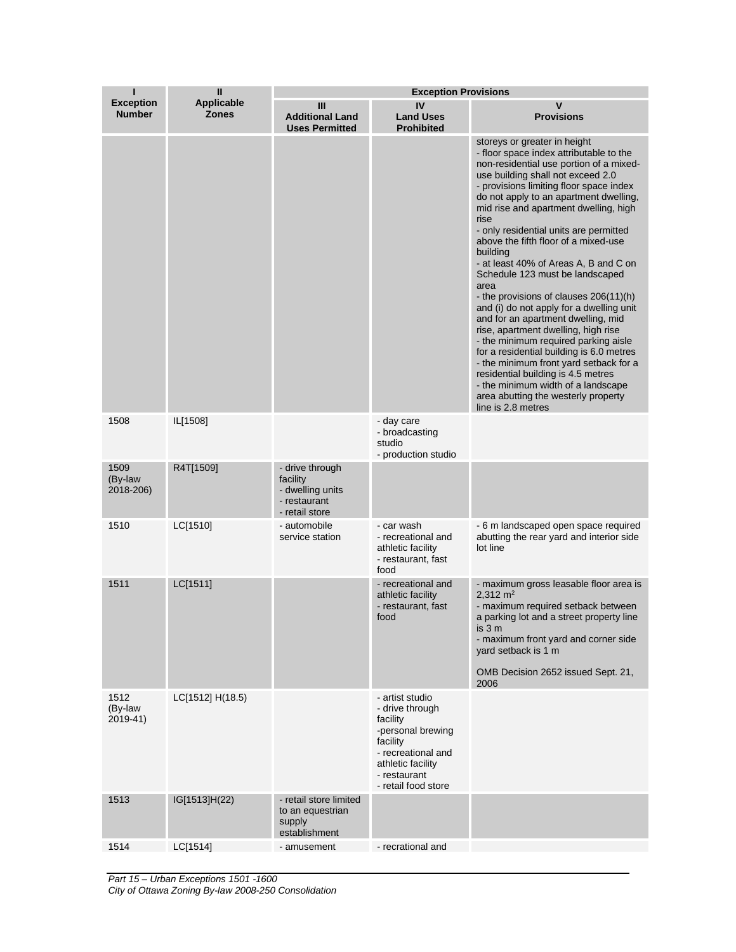|                                   | $\mathbf{I}$                      | <b>Exception Provisions</b>                                                       |                                                                                                                                                                   |                                                                                                                                                                                                                                                                                                                                                                                                                                                                                                                                                                                                                                                                                                                                                                                                                                                                                                                         |  |
|-----------------------------------|-----------------------------------|-----------------------------------------------------------------------------------|-------------------------------------------------------------------------------------------------------------------------------------------------------------------|-------------------------------------------------------------------------------------------------------------------------------------------------------------------------------------------------------------------------------------------------------------------------------------------------------------------------------------------------------------------------------------------------------------------------------------------------------------------------------------------------------------------------------------------------------------------------------------------------------------------------------------------------------------------------------------------------------------------------------------------------------------------------------------------------------------------------------------------------------------------------------------------------------------------------|--|
| <b>Exception</b><br><b>Number</b> | <b>Applicable</b><br><b>Zones</b> | Ш<br><b>Additional Land</b><br><b>Uses Permitted</b>                              | IV<br><b>Land Uses</b><br><b>Prohibited</b>                                                                                                                       | $\mathbf v$<br><b>Provisions</b>                                                                                                                                                                                                                                                                                                                                                                                                                                                                                                                                                                                                                                                                                                                                                                                                                                                                                        |  |
|                                   |                                   |                                                                                   |                                                                                                                                                                   | storeys or greater in height<br>- floor space index attributable to the<br>non-residential use portion of a mixed-<br>use building shall not exceed 2.0<br>- provisions limiting floor space index<br>do not apply to an apartment dwelling,<br>mid rise and apartment dwelling, high<br>rise<br>- only residential units are permitted<br>above the fifth floor of a mixed-use<br>building<br>- at least 40% of Areas A, B and C on<br>Schedule 123 must be landscaped<br>area<br>the provisions of clauses 206(11)(h)<br>and (i) do not apply for a dwelling unit<br>and for an apartment dwelling, mid<br>rise, apartment dwelling, high rise<br>- the minimum required parking aisle<br>for a residential building is 6.0 metres<br>- the minimum front yard setback for a<br>residential building is 4.5 metres<br>- the minimum width of a landscape<br>area abutting the westerly property<br>line is 2.8 metres |  |
| 1508                              | IL[1508]                          |                                                                                   | - day care<br>- broadcasting<br>studio<br>- production studio                                                                                                     |                                                                                                                                                                                                                                                                                                                                                                                                                                                                                                                                                                                                                                                                                                                                                                                                                                                                                                                         |  |
| 1509<br>(By-law<br>2018-206)      | R4T[1509]                         | - drive through<br>facility<br>- dwelling units<br>- restaurant<br>- retail store |                                                                                                                                                                   |                                                                                                                                                                                                                                                                                                                                                                                                                                                                                                                                                                                                                                                                                                                                                                                                                                                                                                                         |  |
| 1510                              | LC[1510]                          | - automobile<br>service station                                                   | - car wash<br>- recreational and<br>athletic facility<br>- restaurant, fast<br>food                                                                               | - 6 m landscaped open space required<br>abutting the rear yard and interior side<br>lot line                                                                                                                                                                                                                                                                                                                                                                                                                                                                                                                                                                                                                                                                                                                                                                                                                            |  |
| 1511                              | LC[1511]                          |                                                                                   | - recreational and<br>athletic facility<br>- restaurant, fast<br>food                                                                                             | - maximum gross leasable floor area is<br>2,312 $m2$<br>- maximum required setback between<br>a parking lot and a street property line<br>is 3 m<br>- maximum front yard and corner side<br>yard setback is 1 m<br>OMB Decision 2652 issued Sept. 21,<br>2006                                                                                                                                                                                                                                                                                                                                                                                                                                                                                                                                                                                                                                                           |  |
| 1512<br>(By-law<br>2019-41)       | LC[1512] H(18.5)                  |                                                                                   | - artist studio<br>- drive through<br>facility<br>-personal brewing<br>facility<br>- recreational and<br>athletic facility<br>- restaurant<br>- retail food store |                                                                                                                                                                                                                                                                                                                                                                                                                                                                                                                                                                                                                                                                                                                                                                                                                                                                                                                         |  |
| 1513                              | IG[1513]H(22)                     | - retail store limited<br>to an equestrian<br>supply<br>establishment             |                                                                                                                                                                   |                                                                                                                                                                                                                                                                                                                                                                                                                                                                                                                                                                                                                                                                                                                                                                                                                                                                                                                         |  |
| 1514                              | LC[1514]                          | - amusement                                                                       | - recrational and                                                                                                                                                 |                                                                                                                                                                                                                                                                                                                                                                                                                                                                                                                                                                                                                                                                                                                                                                                                                                                                                                                         |  |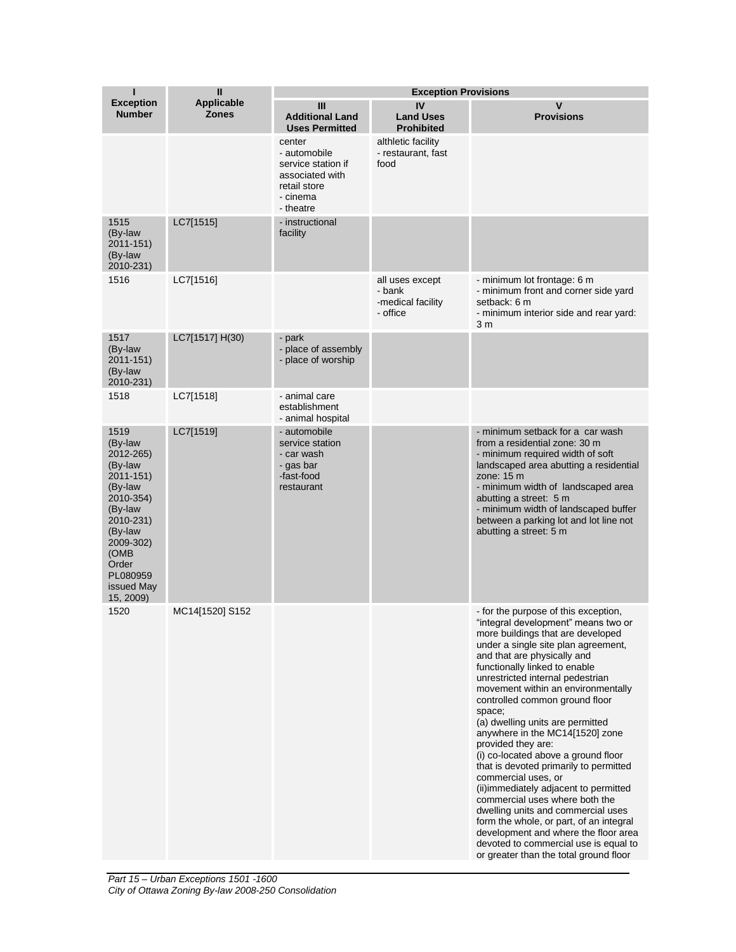| п                                                                                                                                                                                    | $\mathbf{I}$               | <b>Exception Provisions</b>                                                                              |                                                            |                                                                                                                                                                                                                                                                                                                                                                                                                                                                                                                                                                                                                                                                                                                                                                                                                                           |
|--------------------------------------------------------------------------------------------------------------------------------------------------------------------------------------|----------------------------|----------------------------------------------------------------------------------------------------------|------------------------------------------------------------|-------------------------------------------------------------------------------------------------------------------------------------------------------------------------------------------------------------------------------------------------------------------------------------------------------------------------------------------------------------------------------------------------------------------------------------------------------------------------------------------------------------------------------------------------------------------------------------------------------------------------------------------------------------------------------------------------------------------------------------------------------------------------------------------------------------------------------------------|
| <b>Exception</b><br><b>Number</b>                                                                                                                                                    | Applicable<br><b>Zones</b> | Ш<br><b>Additional Land</b><br><b>Uses Permitted</b>                                                     | IV<br><b>Land Uses</b><br><b>Prohibited</b>                | V<br><b>Provisions</b>                                                                                                                                                                                                                                                                                                                                                                                                                                                                                                                                                                                                                                                                                                                                                                                                                    |
|                                                                                                                                                                                      |                            | center<br>- automobile<br>service station if<br>associated with<br>retail store<br>- cinema<br>- theatre | althletic facility<br>- restaurant, fast<br>food           |                                                                                                                                                                                                                                                                                                                                                                                                                                                                                                                                                                                                                                                                                                                                                                                                                                           |
| 1515<br>(By-law<br>2011-151)<br>(By-law<br>2010-231)                                                                                                                                 | LC7[1515]                  | - instructional<br>facility                                                                              |                                                            |                                                                                                                                                                                                                                                                                                                                                                                                                                                                                                                                                                                                                                                                                                                                                                                                                                           |
| 1516                                                                                                                                                                                 | LC7[1516]                  |                                                                                                          | all uses except<br>- bank<br>-medical facility<br>- office | - minimum lot frontage: 6 m<br>- minimum front and corner side yard<br>setback: 6 m<br>- minimum interior side and rear yard:<br>3 <sub>m</sub>                                                                                                                                                                                                                                                                                                                                                                                                                                                                                                                                                                                                                                                                                           |
| 1517<br>(By-law<br>2011-151)<br>(By-law<br>2010-231)                                                                                                                                 | LC7[1517] H(30)            | - park<br>- place of assembly<br>- place of worship                                                      |                                                            |                                                                                                                                                                                                                                                                                                                                                                                                                                                                                                                                                                                                                                                                                                                                                                                                                                           |
| 1518                                                                                                                                                                                 | LC7[1518]                  | - animal care<br>establishment<br>- animal hospital                                                      |                                                            |                                                                                                                                                                                                                                                                                                                                                                                                                                                                                                                                                                                                                                                                                                                                                                                                                                           |
| 1519<br>(By-law<br>2012-265)<br>(By-law<br>2011-151)<br>(By-law<br>2010-354)<br>(By-law<br>2010-231)<br>(By-law<br>2009-302)<br>(OMB<br>Order<br>PL080959<br>issued May<br>15, 2009) | LC7[1519]                  | - automobile<br>service station<br>- car wash<br>- gas bar<br>-fast-food<br>restaurant                   |                                                            | - minimum setback for a car wash<br>from a residential zone: 30 m<br>- minimum required width of soft<br>landscaped area abutting a residential<br>zone: 15 m<br>- minimum width of landscaped area<br>abutting a street: 5 m<br>- minimum width of landscaped buffer<br>between a parking lot and lot line not<br>abutting a street: 5 m                                                                                                                                                                                                                                                                                                                                                                                                                                                                                                 |
| 1520                                                                                                                                                                                 | MC14[1520] S152            |                                                                                                          |                                                            | - for the purpose of this exception,<br>"integral development" means two or<br>more buildings that are developed<br>under a single site plan agreement,<br>and that are physically and<br>functionally linked to enable<br>unrestricted internal pedestrian<br>movement within an environmentally<br>controlled common ground floor<br>space;<br>(a) dwelling units are permitted<br>anywhere in the MC14[1520] zone<br>provided they are:<br>(i) co-located above a ground floor<br>that is devoted primarily to permitted<br>commercial uses, or<br>(ii)immediately adjacent to permitted<br>commercial uses where both the<br>dwelling units and commercial uses<br>form the whole, or part, of an integral<br>development and where the floor area<br>devoted to commercial use is equal to<br>or greater than the total ground floor |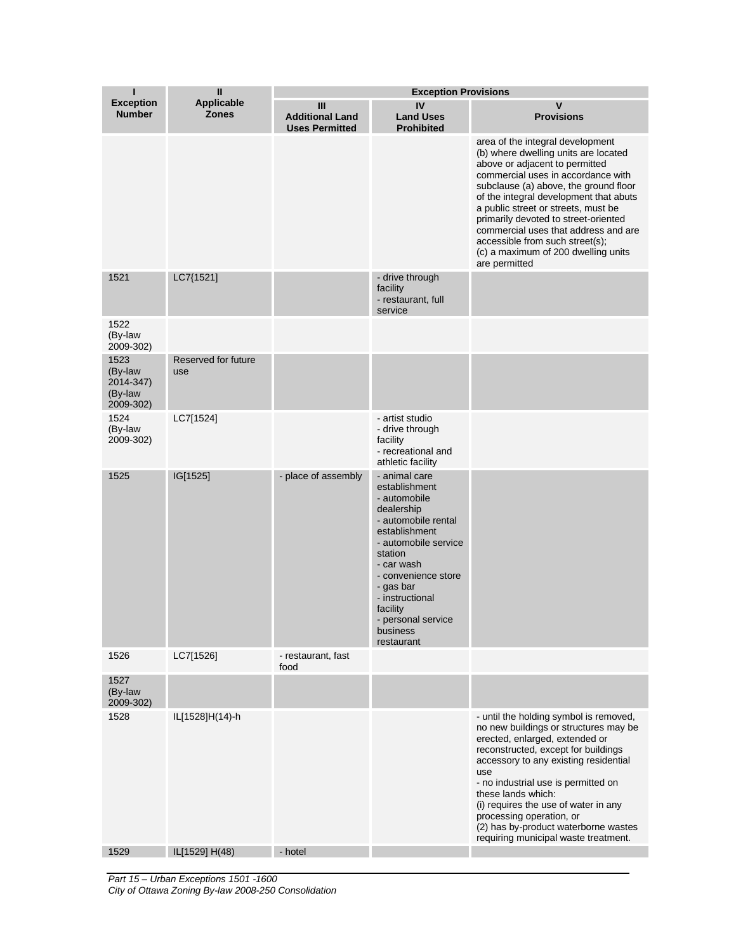| ı                                                    | $\mathbf{II}$                     | <b>Exception Provisions</b>                          |                                                                                                                                                                                                                                                                          |                                                                                                                                                                                                                                                                                                                                                                                                                                                       |  |
|------------------------------------------------------|-----------------------------------|------------------------------------------------------|--------------------------------------------------------------------------------------------------------------------------------------------------------------------------------------------------------------------------------------------------------------------------|-------------------------------------------------------------------------------------------------------------------------------------------------------------------------------------------------------------------------------------------------------------------------------------------------------------------------------------------------------------------------------------------------------------------------------------------------------|--|
| <b>Exception</b><br><b>Number</b>                    | <b>Applicable</b><br><b>Zones</b> | Ш<br><b>Additional Land</b><br><b>Uses Permitted</b> | IV<br><b>Land Uses</b><br><b>Prohibited</b>                                                                                                                                                                                                                              | $\mathsf{V}$<br><b>Provisions</b>                                                                                                                                                                                                                                                                                                                                                                                                                     |  |
|                                                      |                                   |                                                      |                                                                                                                                                                                                                                                                          | area of the integral development<br>(b) where dwelling units are located<br>above or adjacent to permitted<br>commercial uses in accordance with<br>subclause (a) above, the ground floor<br>of the integral development that abuts<br>a public street or streets, must be<br>primarily devoted to street-oriented<br>commercial uses that address and are<br>accessible from such street(s);<br>(c) a maximum of 200 dwelling units<br>are permitted |  |
| 1521                                                 | LC7{1521]                         |                                                      | - drive through<br>facility<br>- restaurant, full<br>service                                                                                                                                                                                                             |                                                                                                                                                                                                                                                                                                                                                                                                                                                       |  |
| 1522<br>(By-law<br>2009-302)                         |                                   |                                                      |                                                                                                                                                                                                                                                                          |                                                                                                                                                                                                                                                                                                                                                                                                                                                       |  |
| 1523<br>(By-law<br>2014-347)<br>(By-law<br>2009-302) | Reserved for future<br>use        |                                                      |                                                                                                                                                                                                                                                                          |                                                                                                                                                                                                                                                                                                                                                                                                                                                       |  |
| 1524<br>(By-law<br>2009-302)                         | LC7[1524]                         |                                                      | - artist studio<br>- drive through<br>facility<br>- recreational and<br>athletic facility                                                                                                                                                                                |                                                                                                                                                                                                                                                                                                                                                                                                                                                       |  |
| 1525                                                 | IG[1525]                          | - place of assembly                                  | - animal care<br>establishment<br>- automobile<br>dealership<br>- automobile rental<br>establishment<br>- automobile service<br>station<br>- car wash<br>- convenience store<br>- gas bar<br>- instructional<br>facility<br>- personal service<br>business<br>restaurant |                                                                                                                                                                                                                                                                                                                                                                                                                                                       |  |
| 1526                                                 | LC7[1526]                         | - restaurant, fast<br>food                           |                                                                                                                                                                                                                                                                          |                                                                                                                                                                                                                                                                                                                                                                                                                                                       |  |
| 1527<br>(By-law<br>2009-302)                         |                                   |                                                      |                                                                                                                                                                                                                                                                          |                                                                                                                                                                                                                                                                                                                                                                                                                                                       |  |
| 1528                                                 | IL[1528]H(14)-h                   |                                                      |                                                                                                                                                                                                                                                                          | - until the holding symbol is removed,<br>no new buildings or structures may be<br>erected, enlarged, extended or<br>reconstructed, except for buildings<br>accessory to any existing residential<br>use<br>- no industrial use is permitted on<br>these lands which:<br>(i) requires the use of water in any<br>processing operation, or<br>(2) has by-product waterborne wastes<br>requiring municipal waste treatment.                             |  |
| 1529                                                 | IL[1529] H(48)                    | - hotel                                              |                                                                                                                                                                                                                                                                          |                                                                                                                                                                                                                                                                                                                                                                                                                                                       |  |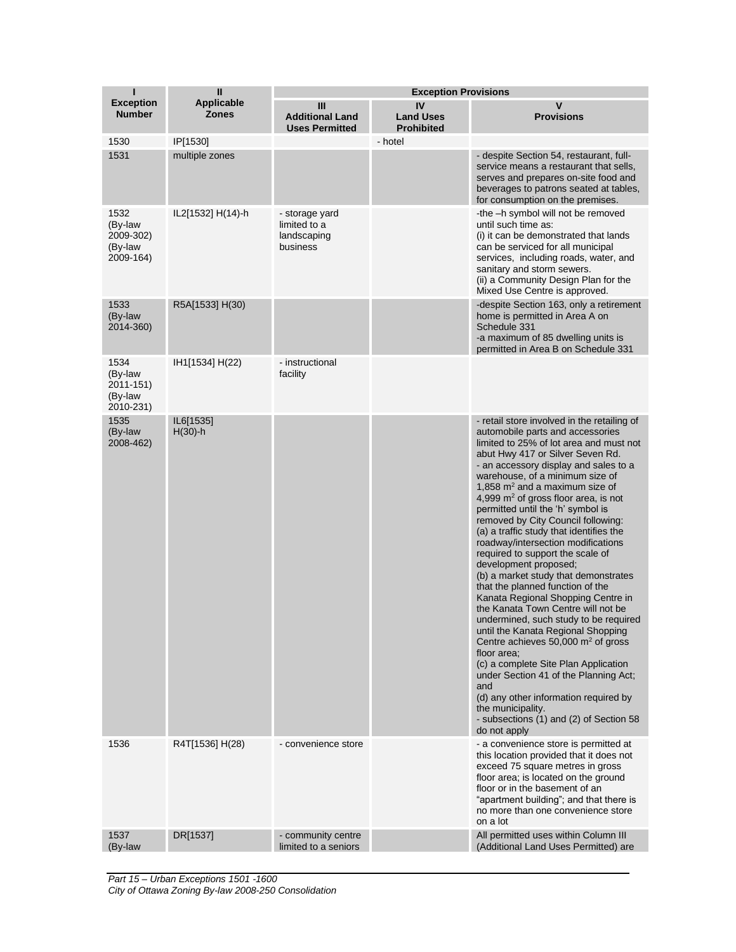| п                                                    | $\mathbf{I}$                      | <b>Exception Provisions</b>                               |                                             |                                                                                                                                                                                                                                                                                                                                                                                                                                                                                                                                                                                                                                                                                                                                                                                                                                                                                                                                                                                                                                                                            |  |
|------------------------------------------------------|-----------------------------------|-----------------------------------------------------------|---------------------------------------------|----------------------------------------------------------------------------------------------------------------------------------------------------------------------------------------------------------------------------------------------------------------------------------------------------------------------------------------------------------------------------------------------------------------------------------------------------------------------------------------------------------------------------------------------------------------------------------------------------------------------------------------------------------------------------------------------------------------------------------------------------------------------------------------------------------------------------------------------------------------------------------------------------------------------------------------------------------------------------------------------------------------------------------------------------------------------------|--|
| <b>Exception</b><br><b>Number</b>                    | <b>Applicable</b><br><b>Zones</b> | Ш<br><b>Additional Land</b><br><b>Uses Permitted</b>      | IV<br><b>Land Uses</b><br><b>Prohibited</b> | $\mathbf v$<br><b>Provisions</b>                                                                                                                                                                                                                                                                                                                                                                                                                                                                                                                                                                                                                                                                                                                                                                                                                                                                                                                                                                                                                                           |  |
| 1530                                                 | IP[1530]                          |                                                           | - hotel                                     |                                                                                                                                                                                                                                                                                                                                                                                                                                                                                                                                                                                                                                                                                                                                                                                                                                                                                                                                                                                                                                                                            |  |
| 1531                                                 | multiple zones                    |                                                           |                                             | - despite Section 54, restaurant, full-<br>service means a restaurant that sells,<br>serves and prepares on-site food and<br>beverages to patrons seated at tables,<br>for consumption on the premises.                                                                                                                                                                                                                                                                                                                                                                                                                                                                                                                                                                                                                                                                                                                                                                                                                                                                    |  |
| 1532<br>(By-law<br>2009-302)<br>(By-law<br>2009-164) | IL2[1532] H(14)-h                 | - storage yard<br>limited to a<br>landscaping<br>business |                                             | -the -h symbol will not be removed<br>until such time as:<br>(i) it can be demonstrated that lands<br>can be serviced for all municipal<br>services, including roads, water, and<br>sanitary and storm sewers.<br>(ii) a Community Design Plan for the<br>Mixed Use Centre is approved.                                                                                                                                                                                                                                                                                                                                                                                                                                                                                                                                                                                                                                                                                                                                                                                    |  |
| 1533<br>(By-law<br>2014-360)                         | R5A[1533] H(30)                   |                                                           |                                             | -despite Section 163, only a retirement<br>home is permitted in Area A on<br>Schedule 331<br>-a maximum of 85 dwelling units is<br>permitted in Area B on Schedule 331                                                                                                                                                                                                                                                                                                                                                                                                                                                                                                                                                                                                                                                                                                                                                                                                                                                                                                     |  |
| 1534<br>(By-law<br>2011-151)<br>(By-law<br>2010-231) | IH1[1534] H(22)                   | - instructional<br>facility                               |                                             |                                                                                                                                                                                                                                                                                                                                                                                                                                                                                                                                                                                                                                                                                                                                                                                                                                                                                                                                                                                                                                                                            |  |
| 1535<br>(By-law<br>2008-462)                         | IL6[1535]<br>$H(30)$ -h           |                                                           |                                             | - retail store involved in the retailing of<br>automobile parts and accessories<br>limited to 25% of lot area and must not<br>abut Hwy 417 or Silver Seven Rd.<br>- an accessory display and sales to a<br>warehouse, of a minimum size of<br>1,858 $m2$ and a maximum size of<br>4,999 $m2$ of gross floor area, is not<br>permitted until the 'h' symbol is<br>removed by City Council following:<br>(a) a traffic study that identifies the<br>roadway/intersection modifications<br>required to support the scale of<br>development proposed;<br>(b) a market study that demonstrates<br>that the planned function of the<br>Kanata Regional Shopping Centre in<br>the Kanata Town Centre will not be<br>undermined, such study to be required<br>until the Kanata Regional Shopping<br>Centre achieves 50,000 m <sup>2</sup> of gross<br>floor area:<br>(c) a complete Site Plan Application<br>under Section 41 of the Planning Act;<br>and<br>(d) any other information required by<br>the municipality.<br>- subsections (1) and (2) of Section 58<br>do not apply |  |
| 1536                                                 | R4T[1536] H(28)                   | - convenience store                                       |                                             | - a convenience store is permitted at<br>this location provided that it does not<br>exceed 75 square metres in gross<br>floor area; is located on the ground<br>floor or in the basement of an<br>"apartment building"; and that there is<br>no more than one convenience store<br>on a lot                                                                                                                                                                                                                                                                                                                                                                                                                                                                                                                                                                                                                                                                                                                                                                                |  |
| 1537<br>(By-law                                      | DR[1537]                          | - community centre<br>limited to a seniors                |                                             | All permitted uses within Column III<br>(Additional Land Uses Permitted) are                                                                                                                                                                                                                                                                                                                                                                                                                                                                                                                                                                                                                                                                                                                                                                                                                                                                                                                                                                                               |  |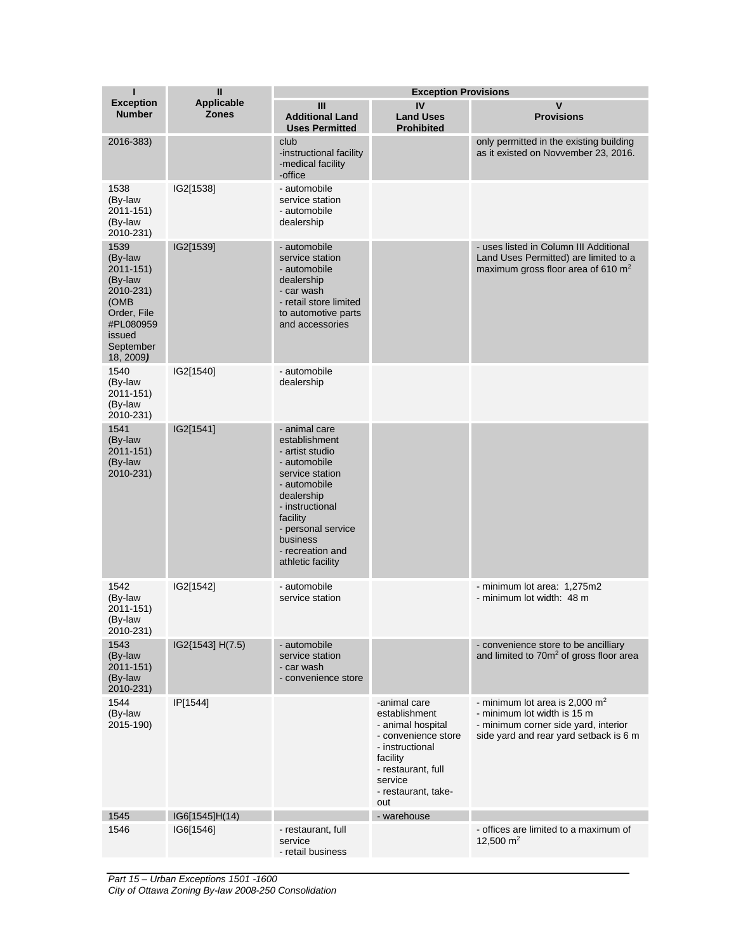| т                                                                                                                               | $\mathbf{I}$                      | <b>Exception Provisions</b>                                                                                                                                                                                                  |                                                                                                                                                                         |                                                                                                                                                   |  |
|---------------------------------------------------------------------------------------------------------------------------------|-----------------------------------|------------------------------------------------------------------------------------------------------------------------------------------------------------------------------------------------------------------------------|-------------------------------------------------------------------------------------------------------------------------------------------------------------------------|---------------------------------------------------------------------------------------------------------------------------------------------------|--|
| <b>Exception</b><br><b>Number</b>                                                                                               | <b>Applicable</b><br><b>Zones</b> | Ш<br><b>Additional Land</b><br><b>Uses Permitted</b>                                                                                                                                                                         | IV<br><b>Land Uses</b><br><b>Prohibited</b>                                                                                                                             | V<br><b>Provisions</b>                                                                                                                            |  |
| 2016-383)                                                                                                                       |                                   | club<br>-instructional facility<br>-medical facility<br>-office                                                                                                                                                              |                                                                                                                                                                         | only permitted in the existing building<br>as it existed on Novvember 23, 2016.                                                                   |  |
| 1538<br>(By-law<br>$2011 - 151$<br>(By-law<br>2010-231)                                                                         | IG2[1538]                         | - automobile<br>service station<br>- automobile<br>dealership                                                                                                                                                                |                                                                                                                                                                         |                                                                                                                                                   |  |
| 1539<br>(By-law<br>$2011 - 151$<br>(By-law<br>2010-231)<br>(OMB<br>Order, File<br>#PL080959<br>issued<br>September<br>18, 2009) | IG2[1539]                         | - automobile<br>service station<br>- automobile<br>dealership<br>- car wash<br>- retail store limited<br>to automotive parts<br>and accessories                                                                              |                                                                                                                                                                         | - uses listed in Column III Additional<br>Land Uses Permitted) are limited to a<br>maximum gross floor area of 610 $m2$                           |  |
| 1540<br>(By-law<br>2011-151)<br>(By-law<br>2010-231)                                                                            | IG2[1540]                         | - automobile<br>dealership                                                                                                                                                                                                   |                                                                                                                                                                         |                                                                                                                                                   |  |
| 1541<br>(By-law<br>2011-151)<br>(By-law<br>2010-231)                                                                            | IG2[1541]                         | - animal care<br>establishment<br>- artist studio<br>- automobile<br>service station<br>- automobile<br>dealership<br>- instructional<br>facility<br>- personal service<br>business<br>- recreation and<br>athletic facility |                                                                                                                                                                         |                                                                                                                                                   |  |
| 1542<br>(By-law<br>2011-151)<br>(By-law<br>2010-231)                                                                            | IG2[1542]                         | - automobile<br>service station                                                                                                                                                                                              |                                                                                                                                                                         | - minimum lot area: 1,275m2<br>- minimum lot width: 48 m                                                                                          |  |
| 1543<br>(By-law<br>2011-151)<br>(By-law<br>2010-231)                                                                            | IG2{1543] H(7.5)                  | - automobile<br>service station<br>- car wash<br>- convenience store                                                                                                                                                         |                                                                                                                                                                         | - convenience store to be ancilliary<br>and limited to 70m <sup>2</sup> of gross floor area                                                       |  |
| 1544<br>(By-law<br>2015-190)                                                                                                    | IP[1544]                          |                                                                                                                                                                                                                              | -animal care<br>establishment<br>- animal hospital<br>- convenience store<br>- instructional<br>facility<br>- restaurant, full<br>service<br>- restaurant, take-<br>out | - minimum lot area is 2,000 $m2$<br>- minimum lot width is 15 m<br>- minimum corner side yard, interior<br>side yard and rear yard setback is 6 m |  |
| 1545                                                                                                                            | IG6[1545]H(14)                    |                                                                                                                                                                                                                              | - warehouse                                                                                                                                                             |                                                                                                                                                   |  |
| 1546                                                                                                                            | IG6[1546]                         | - restaurant, full<br>service<br>- retail business                                                                                                                                                                           |                                                                                                                                                                         | - offices are limited to a maximum of<br>12,500 $m2$                                                                                              |  |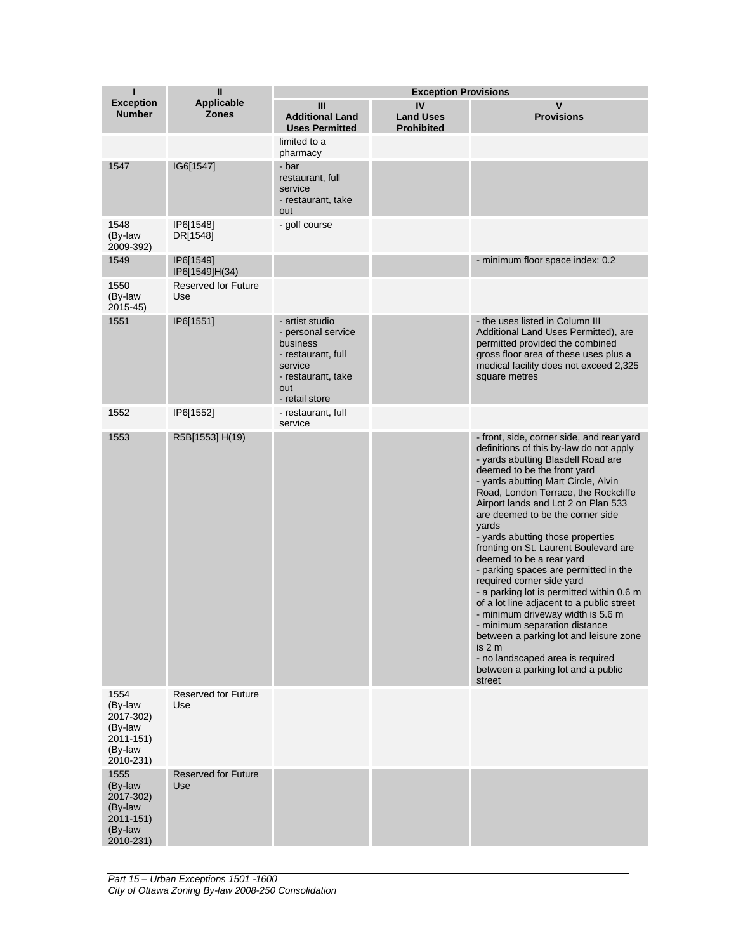| Ш<br><b>Exception Provisions</b>                                                |                                   |                                                                                                                                   |                                             |                                                                                                                                                                                                                                                                                                                                                                                                                                                                                                                                                                                                                                                                                                                                                                                                                      |
|---------------------------------------------------------------------------------|-----------------------------------|-----------------------------------------------------------------------------------------------------------------------------------|---------------------------------------------|----------------------------------------------------------------------------------------------------------------------------------------------------------------------------------------------------------------------------------------------------------------------------------------------------------------------------------------------------------------------------------------------------------------------------------------------------------------------------------------------------------------------------------------------------------------------------------------------------------------------------------------------------------------------------------------------------------------------------------------------------------------------------------------------------------------------|
| <b>Exception</b><br><b>Number</b>                                               | <b>Applicable</b><br><b>Zones</b> | Ш<br><b>Additional Land</b><br><b>Uses Permitted</b>                                                                              | IV<br><b>Land Uses</b><br><b>Prohibited</b> | $\mathbf v$<br><b>Provisions</b>                                                                                                                                                                                                                                                                                                                                                                                                                                                                                                                                                                                                                                                                                                                                                                                     |
|                                                                                 |                                   | limited to a<br>pharmacy                                                                                                          |                                             |                                                                                                                                                                                                                                                                                                                                                                                                                                                                                                                                                                                                                                                                                                                                                                                                                      |
| 1547                                                                            | IG6[1547]                         | - bar<br>restaurant, full<br>service<br>- restaurant, take<br>out                                                                 |                                             |                                                                                                                                                                                                                                                                                                                                                                                                                                                                                                                                                                                                                                                                                                                                                                                                                      |
| 1548<br>(By-law<br>2009-392)                                                    | IP6[1548]<br>DR[1548]             | - golf course                                                                                                                     |                                             |                                                                                                                                                                                                                                                                                                                                                                                                                                                                                                                                                                                                                                                                                                                                                                                                                      |
| 1549                                                                            | IP6[1549]<br>IP6[1549]H(34)       |                                                                                                                                   |                                             | - minimum floor space index: 0.2                                                                                                                                                                                                                                                                                                                                                                                                                                                                                                                                                                                                                                                                                                                                                                                     |
| 1550<br>(By-law<br>$2015 - 45$                                                  | <b>Reserved for Future</b><br>Use |                                                                                                                                   |                                             |                                                                                                                                                                                                                                                                                                                                                                                                                                                                                                                                                                                                                                                                                                                                                                                                                      |
| 1551                                                                            | IP6[1551]                         | - artist studio<br>- personal service<br>business<br>- restaurant, full<br>service<br>- restaurant, take<br>out<br>- retail store |                                             | - the uses listed in Column III<br>Additional Land Uses Permitted), are<br>permitted provided the combined<br>gross floor area of these uses plus a<br>medical facility does not exceed 2,325<br>square metres                                                                                                                                                                                                                                                                                                                                                                                                                                                                                                                                                                                                       |
| 1552                                                                            | IP6[1552]                         | - restaurant, full<br>service                                                                                                     |                                             |                                                                                                                                                                                                                                                                                                                                                                                                                                                                                                                                                                                                                                                                                                                                                                                                                      |
| 1553                                                                            | R5B[1553] H(19)                   |                                                                                                                                   |                                             | - front, side, corner side, and rear yard<br>definitions of this by-law do not apply<br>- yards abutting Blasdell Road are<br>deemed to be the front yard<br>- yards abutting Mart Circle, Alvin<br>Road, London Terrace, the Rockcliffe<br>Airport lands and Lot 2 on Plan 533<br>are deemed to be the corner side<br>yards<br>- yards abutting those properties<br>fronting on St. Laurent Boulevard are<br>deemed to be a rear yard<br>- parking spaces are permitted in the<br>required corner side yard<br>- a parking lot is permitted within 0.6 m<br>of a lot line adjacent to a public street<br>- minimum driveway width is 5.6 m<br>- minimum separation distance<br>between a parking lot and leisure zone<br>is 2 m<br>- no landscaped area is required<br>between a parking lot and a public<br>street |
| 1554<br>(By-law<br>2017-302)<br>(By-law<br>2011-151)<br>(By-law<br>2010-231)    | <b>Reserved for Future</b><br>Use |                                                                                                                                   |                                             |                                                                                                                                                                                                                                                                                                                                                                                                                                                                                                                                                                                                                                                                                                                                                                                                                      |
| 1555<br>(By-law<br>2017-302)<br>(By-law<br>$2011 - 151$<br>(By-law<br>2010-231) | <b>Reserved for Future</b><br>Use |                                                                                                                                   |                                             |                                                                                                                                                                                                                                                                                                                                                                                                                                                                                                                                                                                                                                                                                                                                                                                                                      |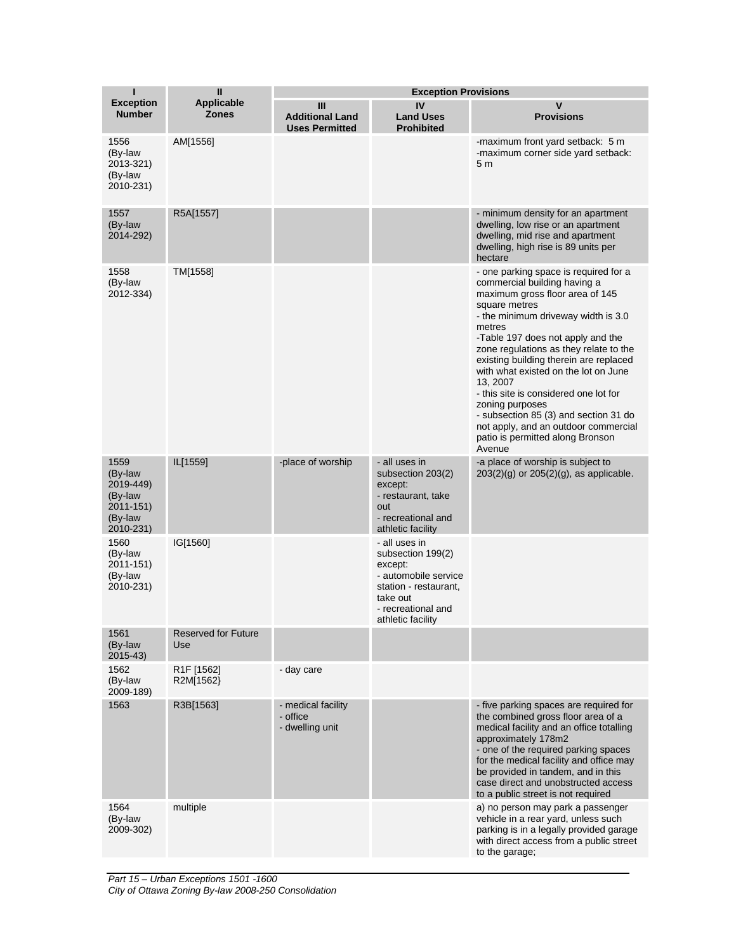| ī                                                                            | $\mathbf{II}$                        | <b>Exception Provisions</b>                          |                                                                                                                                                       |                                                                                                                                                                                                                                                                                                                                                                                                                                                                                                                                                   |  |
|------------------------------------------------------------------------------|--------------------------------------|------------------------------------------------------|-------------------------------------------------------------------------------------------------------------------------------------------------------|---------------------------------------------------------------------------------------------------------------------------------------------------------------------------------------------------------------------------------------------------------------------------------------------------------------------------------------------------------------------------------------------------------------------------------------------------------------------------------------------------------------------------------------------------|--|
| <b>Exception</b><br><b>Number</b>                                            | <b>Applicable</b><br><b>Zones</b>    | Ш<br><b>Additional Land</b><br><b>Uses Permitted</b> | IV<br><b>Land Uses</b><br><b>Prohibited</b>                                                                                                           | V<br><b>Provisions</b>                                                                                                                                                                                                                                                                                                                                                                                                                                                                                                                            |  |
| 1556<br>(By-law<br>2013-321)<br>(By-law<br>2010-231)                         | AM[1556]                             |                                                      |                                                                                                                                                       | -maximum front yard setback: 5 m<br>-maximum corner side yard setback:<br>5 <sub>m</sub>                                                                                                                                                                                                                                                                                                                                                                                                                                                          |  |
| 1557<br>(By-law<br>2014-292)                                                 | R5A[1557]                            |                                                      |                                                                                                                                                       | - minimum density for an apartment<br>dwelling, low rise or an apartment<br>dwelling, mid rise and apartment<br>dwelling, high rise is 89 units per<br>hectare                                                                                                                                                                                                                                                                                                                                                                                    |  |
| 1558<br>(By-law<br>2012-334)                                                 | TM[1558]                             |                                                      |                                                                                                                                                       | - one parking space is required for a<br>commercial building having a<br>maximum gross floor area of 145<br>square metres<br>- the minimum driveway width is 3.0<br>metres<br>-Table 197 does not apply and the<br>zone regulations as they relate to the<br>existing building therein are replaced<br>with what existed on the lot on June<br>13.2007<br>- this site is considered one lot for<br>zoning purposes<br>- subsection 85 (3) and section 31 do<br>not apply, and an outdoor commercial<br>patio is permitted along Bronson<br>Avenue |  |
| 1559<br>(By-law<br>2019-449)<br>(By-law<br>2011-151)<br>(By-law<br>2010-231) | IL[1559]                             | -place of worship                                    | - all uses in<br>subsection 203(2)<br>except:<br>- restaurant, take<br>out<br>- recreational and<br>athletic facility                                 | -a place of worship is subject to<br>$203(2)(g)$ or $205(2)(g)$ , as applicable.                                                                                                                                                                                                                                                                                                                                                                                                                                                                  |  |
| 1560<br>(By-law<br>2011-151)<br>(By-law<br>2010-231)                         | IG[1560]                             |                                                      | - all uses in<br>subsection 199(2)<br>except:<br>- automobile service<br>station - restaurant,<br>take out<br>- recreational and<br>athletic facility |                                                                                                                                                                                                                                                                                                                                                                                                                                                                                                                                                   |  |
| 1561<br>(By-law<br>$2015 - 43$                                               | <b>Reserved for Future</b><br>Use    |                                                      |                                                                                                                                                       |                                                                                                                                                                                                                                                                                                                                                                                                                                                                                                                                                   |  |
| 1562<br>(By-law<br>2009-189)                                                 | R <sub>1</sub> F [1562]<br>R2M[1562} | - day care                                           |                                                                                                                                                       |                                                                                                                                                                                                                                                                                                                                                                                                                                                                                                                                                   |  |
| 1563                                                                         | R3B[1563]                            | - medical facility<br>- office<br>- dwelling unit    |                                                                                                                                                       | - five parking spaces are required for<br>the combined gross floor area of a<br>medical facility and an office totalling<br>approximately 178m2<br>- one of the required parking spaces<br>for the medical facility and office may<br>be provided in tandem, and in this<br>case direct and unobstructed access<br>to a public street is not required                                                                                                                                                                                             |  |
| 1564<br>(By-law<br>2009-302)                                                 | multiple                             |                                                      |                                                                                                                                                       | a) no person may park a passenger<br>vehicle in a rear yard, unless such<br>parking is in a legally provided garage<br>with direct access from a public street<br>to the garage;                                                                                                                                                                                                                                                                                                                                                                  |  |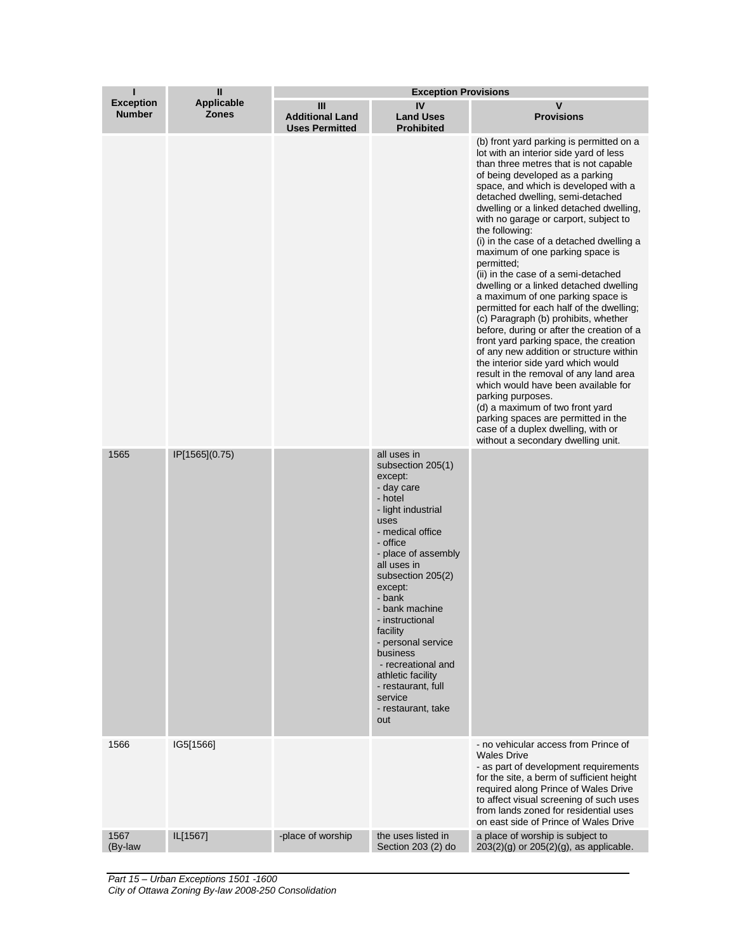| ı                                 | Ш                                 | <b>Exception Provisions</b>                          |                                                                                                                                                                                                                                                                                                                                                                                                                |                                                                                                                                                                                                                                                                                                                                                                                                                                                                                                                                                                                                                                                                                                                                                                                                                                                                                                                                                                                                                                                                                             |  |
|-----------------------------------|-----------------------------------|------------------------------------------------------|----------------------------------------------------------------------------------------------------------------------------------------------------------------------------------------------------------------------------------------------------------------------------------------------------------------------------------------------------------------------------------------------------------------|---------------------------------------------------------------------------------------------------------------------------------------------------------------------------------------------------------------------------------------------------------------------------------------------------------------------------------------------------------------------------------------------------------------------------------------------------------------------------------------------------------------------------------------------------------------------------------------------------------------------------------------------------------------------------------------------------------------------------------------------------------------------------------------------------------------------------------------------------------------------------------------------------------------------------------------------------------------------------------------------------------------------------------------------------------------------------------------------|--|
| <b>Exception</b><br><b>Number</b> | <b>Applicable</b><br><b>Zones</b> | Ш<br><b>Additional Land</b><br><b>Uses Permitted</b> | IV<br><b>Land Uses</b><br><b>Prohibited</b>                                                                                                                                                                                                                                                                                                                                                                    | $\mathbf v$<br><b>Provisions</b>                                                                                                                                                                                                                                                                                                                                                                                                                                                                                                                                                                                                                                                                                                                                                                                                                                                                                                                                                                                                                                                            |  |
|                                   |                                   |                                                      |                                                                                                                                                                                                                                                                                                                                                                                                                | (b) front yard parking is permitted on a<br>lot with an interior side yard of less<br>than three metres that is not capable<br>of being developed as a parking<br>space, and which is developed with a<br>detached dwelling, semi-detached<br>dwelling or a linked detached dwelling,<br>with no garage or carport, subject to<br>the following:<br>(i) in the case of a detached dwelling a<br>maximum of one parking space is<br>permitted;<br>(ii) in the case of a semi-detached<br>dwelling or a linked detached dwelling<br>a maximum of one parking space is<br>permitted for each half of the dwelling;<br>(c) Paragraph (b) prohibits, whether<br>before, during or after the creation of a<br>front yard parking space, the creation<br>of any new addition or structure within<br>the interior side yard which would<br>result in the removal of any land area<br>which would have been available for<br>parking purposes.<br>(d) a maximum of two front yard<br>parking spaces are permitted in the<br>case of a duplex dwelling, with or<br>without a secondary dwelling unit. |  |
| 1565                              | IP[1565](0.75)                    |                                                      | all uses in<br>subsection 205(1)<br>except:<br>- day care<br>- hotel<br>- light industrial<br>uses<br>- medical office<br>- office<br>- place of assembly<br>all uses in<br>subsection 205(2)<br>except:<br>- bank<br>- bank machine<br>- instructional<br>facility<br>- personal service<br>business<br>- recreational and<br>athletic facility<br>- restaurant, full<br>service<br>- restaurant, take<br>out |                                                                                                                                                                                                                                                                                                                                                                                                                                                                                                                                                                                                                                                                                                                                                                                                                                                                                                                                                                                                                                                                                             |  |
| 1566                              | IG5[1566]                         |                                                      |                                                                                                                                                                                                                                                                                                                                                                                                                | - no vehicular access from Prince of<br><b>Wales Drive</b><br>- as part of development requirements<br>for the site, a berm of sufficient height<br>required along Prince of Wales Drive<br>to affect visual screening of such uses<br>from lands zoned for residential uses<br>on east side of Prince of Wales Drive                                                                                                                                                                                                                                                                                                                                                                                                                                                                                                                                                                                                                                                                                                                                                                       |  |
| 1567<br>(By-law                   | IL[1567]                          | -place of worship                                    | the uses listed in<br>Section 203 (2) do                                                                                                                                                                                                                                                                                                                                                                       | a place of worship is subject to<br>$203(2)(g)$ or $205(2)(g)$ , as applicable.                                                                                                                                                                                                                                                                                                                                                                                                                                                                                                                                                                                                                                                                                                                                                                                                                                                                                                                                                                                                             |  |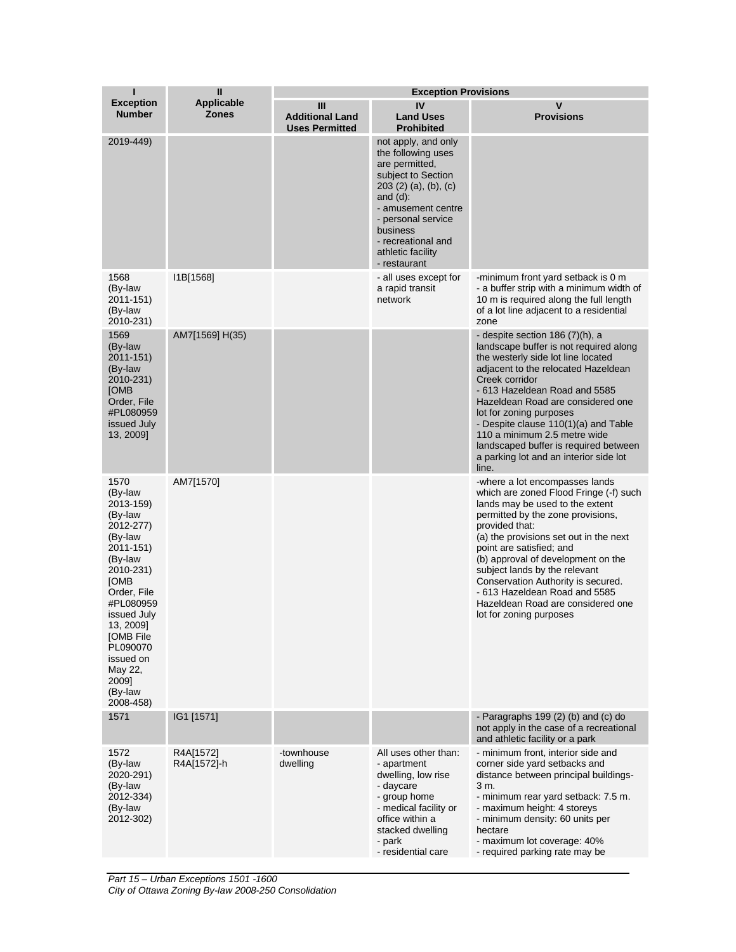| Т                                                                                                                                                                                                                                                      | $\mathbf{I}$                      | <b>Exception Provisions</b>                          |                                                                                                                                                                                                                                            |                                                                                                                                                                                                                                                                                                                                                                                                                                                        |  |
|--------------------------------------------------------------------------------------------------------------------------------------------------------------------------------------------------------------------------------------------------------|-----------------------------------|------------------------------------------------------|--------------------------------------------------------------------------------------------------------------------------------------------------------------------------------------------------------------------------------------------|--------------------------------------------------------------------------------------------------------------------------------------------------------------------------------------------------------------------------------------------------------------------------------------------------------------------------------------------------------------------------------------------------------------------------------------------------------|--|
| <b>Exception</b><br><b>Number</b>                                                                                                                                                                                                                      | <b>Applicable</b><br><b>Zones</b> | Ш<br><b>Additional Land</b><br><b>Uses Permitted</b> | IV<br><b>Land Uses</b><br><b>Prohibited</b>                                                                                                                                                                                                | V<br><b>Provisions</b>                                                                                                                                                                                                                                                                                                                                                                                                                                 |  |
| 2019-449)                                                                                                                                                                                                                                              |                                   |                                                      | not apply, and only<br>the following uses<br>are permitted.<br>subject to Section<br>203(2)(a), (b), (c)<br>and $(d)$ :<br>- amusement centre<br>- personal service<br>business<br>- recreational and<br>athletic facility<br>- restaurant |                                                                                                                                                                                                                                                                                                                                                                                                                                                        |  |
| 1568<br>(By-law<br>2011-151)<br>(By-law<br>2010-231)                                                                                                                                                                                                   | I1B[1568]                         |                                                      | - all uses except for<br>a rapid transit<br>network                                                                                                                                                                                        | -minimum front yard setback is 0 m<br>- a buffer strip with a minimum width of<br>10 m is required along the full length<br>of a lot line adjacent to a residential<br>zone                                                                                                                                                                                                                                                                            |  |
| 1569<br>(By-law<br>2011-151)<br>(By-law<br>2010-231)<br><b>[OMB</b><br>Order, File<br>#PL080959<br>issued July<br>13, 2009]                                                                                                                            | AM7[1569] H(35)                   |                                                      |                                                                                                                                                                                                                                            | - despite section $186 (7)(h)$ , a<br>landscape buffer is not required along<br>the westerly side lot line located<br>adjacent to the relocated Hazeldean<br>Creek corridor<br>- 613 Hazeldean Road and 5585<br>Hazeldean Road are considered one<br>lot for zoning purposes<br>- Despite clause 110(1)(a) and Table<br>110 a minimum 2.5 metre wide<br>landscaped buffer is required between<br>a parking lot and an interior side lot<br>line.       |  |
| 1570<br>(By-law<br>2013-159)<br>(By-law<br>2012-277)<br>(By-law<br>2011-151)<br>(By-law<br>2010-231)<br>[OMB<br>Order, File<br>#PL080959<br>issued July<br>13, 2009]<br>[OMB File<br>PL090070<br>issued on<br>May 22,<br>2009]<br>(By-law<br>2008-458) | AM7[1570]                         |                                                      |                                                                                                                                                                                                                                            | -where a lot encompasses lands<br>which are zoned Flood Fringe (-f) such<br>lands may be used to the extent<br>permitted by the zone provisions,<br>provided that:<br>(a) the provisions set out in the next<br>point are satisfied; and<br>(b) approval of development on the<br>subject lands by the relevant<br>Conservation Authority is secured.<br>- 613 Hazeldean Road and 5585<br>Hazeldean Road are considered one<br>lot for zoning purposes |  |
| 1571                                                                                                                                                                                                                                                   | IG1 [1571]                        |                                                      |                                                                                                                                                                                                                                            | - Paragraphs $199(2)$ (b) and (c) do<br>not apply in the case of a recreational<br>and athletic facility or a park                                                                                                                                                                                                                                                                                                                                     |  |
| 1572<br>(By-law<br>2020-291)<br>(By-law<br>2012-334)<br>(By-law<br>2012-302)                                                                                                                                                                           | R4A[1572]<br>R4A[1572]-h          | -townhouse<br>dwelling                               | All uses other than:<br>- apartment<br>dwelling, low rise<br>- daycare<br>- group home<br>- medical facility or<br>office within a<br>stacked dwelling<br>- park<br>- residential care                                                     | - minimum front, interior side and<br>corner side yard setbacks and<br>distance between principal buildings-<br>3 m.<br>- minimum rear yard setback: 7.5 m.<br>- maximum height: 4 storeys<br>- minimum density: 60 units per<br>hectare<br>- maximum lot coverage: 40%<br>- required parking rate may be                                                                                                                                              |  |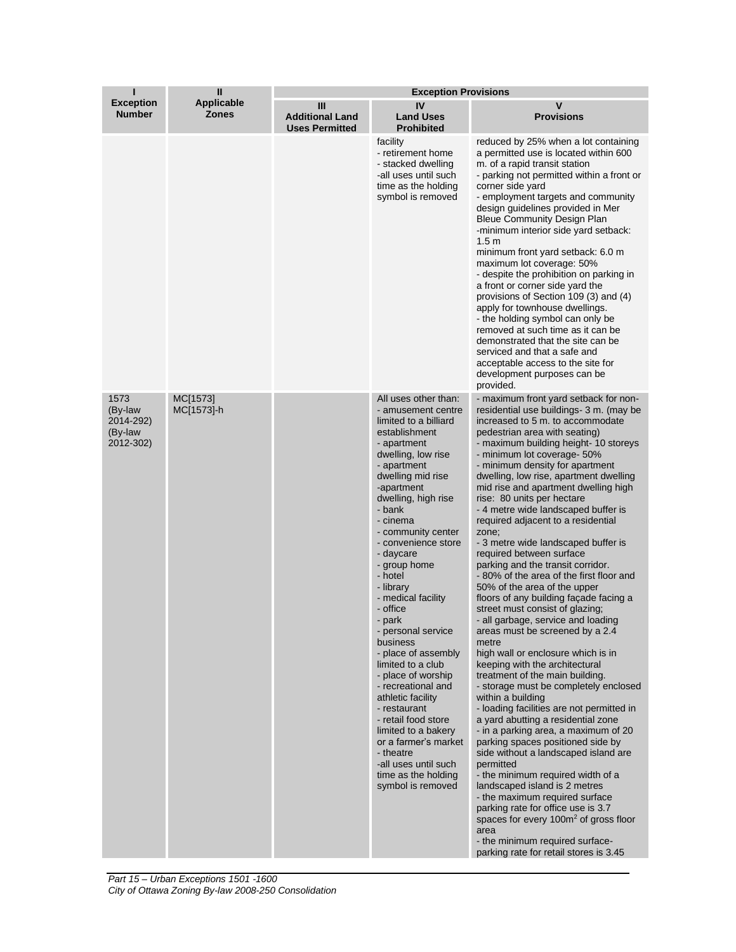| ı                                                    | $\mathbf{I}$                      | <b>Exception Provisions</b>                          |                                                                                                                                                                                                                                                                                                                                                                                                                                                                                                                                                                                                                                                                                              |                                                                                                                                                                                                                                                                                                                                                                                                                                                                                                                                                                                                                                                                                                                                                                                                                                                                                                                                                                                                                                                                                                                                                                                                                                                                                                                                                                                                                                                                                                              |  |
|------------------------------------------------------|-----------------------------------|------------------------------------------------------|----------------------------------------------------------------------------------------------------------------------------------------------------------------------------------------------------------------------------------------------------------------------------------------------------------------------------------------------------------------------------------------------------------------------------------------------------------------------------------------------------------------------------------------------------------------------------------------------------------------------------------------------------------------------------------------------|--------------------------------------------------------------------------------------------------------------------------------------------------------------------------------------------------------------------------------------------------------------------------------------------------------------------------------------------------------------------------------------------------------------------------------------------------------------------------------------------------------------------------------------------------------------------------------------------------------------------------------------------------------------------------------------------------------------------------------------------------------------------------------------------------------------------------------------------------------------------------------------------------------------------------------------------------------------------------------------------------------------------------------------------------------------------------------------------------------------------------------------------------------------------------------------------------------------------------------------------------------------------------------------------------------------------------------------------------------------------------------------------------------------------------------------------------------------------------------------------------------------|--|
| <b>Exception</b><br><b>Number</b>                    | <b>Applicable</b><br><b>Zones</b> | Ш<br><b>Additional Land</b><br><b>Uses Permitted</b> | IV<br><b>Land Uses</b><br><b>Prohibited</b>                                                                                                                                                                                                                                                                                                                                                                                                                                                                                                                                                                                                                                                  | V<br><b>Provisions</b>                                                                                                                                                                                                                                                                                                                                                                                                                                                                                                                                                                                                                                                                                                                                                                                                                                                                                                                                                                                                                                                                                                                                                                                                                                                                                                                                                                                                                                                                                       |  |
|                                                      |                                   |                                                      | facility<br>- retirement home<br>- stacked dwelling<br>-all uses until such<br>time as the holding<br>symbol is removed                                                                                                                                                                                                                                                                                                                                                                                                                                                                                                                                                                      | reduced by 25% when a lot containing<br>a permitted use is located within 600<br>m. of a rapid transit station<br>- parking not permitted within a front or<br>corner side yard<br>- employment targets and community<br>design guidelines provided in Mer<br><b>Bleue Community Design Plan</b><br>-minimum interior side yard setback:<br>1.5 <sub>m</sub><br>minimum front yard setback: 6.0 m<br>maximum lot coverage: 50%<br>- despite the prohibition on parking in<br>a front or corner side yard the<br>provisions of Section 109 (3) and (4)<br>apply for townhouse dwellings.<br>- the holding symbol can only be<br>removed at such time as it can be<br>demonstrated that the site can be<br>serviced and that a safe and<br>acceptable access to the site for<br>development purposes can be<br>provided.                                                                                                                                                                                                                                                                                                                                                                                                                                                                                                                                                                                                                                                                                       |  |
| 1573<br>(By-law<br>2014-292)<br>(By-law<br>2012-302) | MC[1573]<br>MC[1573]-h            |                                                      | All uses other than:<br>- amusement centre<br>limited to a billiard<br>establishment<br>- apartment<br>dwelling, low rise<br>- apartment<br>dwelling mid rise<br>-apartment<br>dwelling, high rise<br>- bank<br>- cinema<br>- community center<br>- convenience store<br>- daycare<br>- group home<br>- hotel<br>- library<br>- medical facility<br>- office<br>- park<br>- personal service<br>business<br>- place of assembly<br>limited to a club<br>- place of worship<br>- recreational and<br>athletic facility<br>- restaurant<br>- retail food store<br>limited to a bakery<br>or a farmer's market<br>- theatre<br>-all uses until such<br>time as the holding<br>symbol is removed | - maximum front yard setback for non-<br>residential use buildings-3 m. (may be<br>increased to 5 m. to accommodate<br>pedestrian area with seating)<br>- maximum building height-10 storeys<br>- minimum lot coverage- 50%<br>- minimum density for apartment<br>dwelling, low rise, apartment dwelling<br>mid rise and apartment dwelling high<br>rise: 80 units per hectare<br>- 4 metre wide landscaped buffer is<br>required adjacent to a residential<br>zone;<br>- 3 metre wide landscaped buffer is<br>required between surface<br>parking and the transit corridor.<br>-80% of the area of the first floor and<br>50% of the area of the upper<br>floors of any building facade facing a<br>street must consist of glazing;<br>- all garbage, service and loading<br>areas must be screened by a 2.4<br>metre<br>high wall or enclosure which is in<br>keeping with the architectural<br>treatment of the main building.<br>- storage must be completely enclosed<br>within a building<br>- loading facilities are not permitted in<br>a yard abutting a residential zone<br>- in a parking area, a maximum of 20<br>parking spaces positioned side by<br>side without a landscaped island are<br>permitted<br>- the minimum required width of a<br>landscaped island is 2 metres<br>- the maximum required surface<br>parking rate for office use is 3.7<br>spaces for every 100m <sup>2</sup> of gross floor<br>area<br>- the minimum required surface-<br>parking rate for retail stores is 3.45 |  |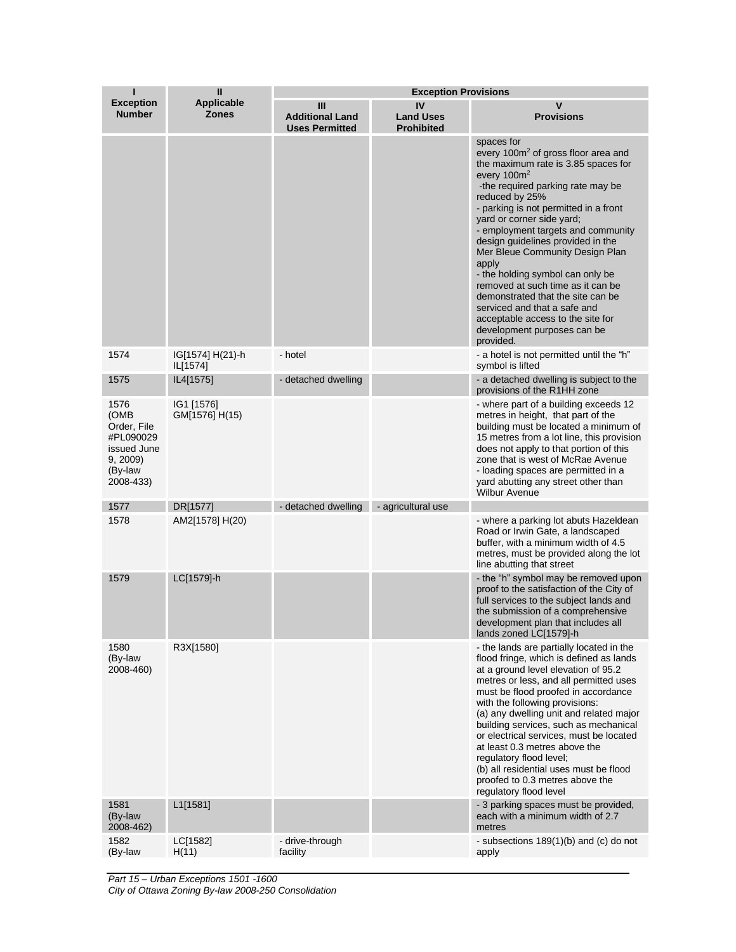|                                                                                             | $\mathbf{I}$                      | <b>Exception Provisions</b>                          |                                             |                                                                                                                                                                                                                                                                                                                                                                                                                                                                                                                                                                                                           |  |
|---------------------------------------------------------------------------------------------|-----------------------------------|------------------------------------------------------|---------------------------------------------|-----------------------------------------------------------------------------------------------------------------------------------------------------------------------------------------------------------------------------------------------------------------------------------------------------------------------------------------------------------------------------------------------------------------------------------------------------------------------------------------------------------------------------------------------------------------------------------------------------------|--|
| <b>Exception</b><br><b>Number</b>                                                           | <b>Applicable</b><br><b>Zones</b> | Ш<br><b>Additional Land</b><br><b>Uses Permitted</b> | IV<br><b>Land Uses</b><br><b>Prohibited</b> | $\mathbf v$<br><b>Provisions</b>                                                                                                                                                                                                                                                                                                                                                                                                                                                                                                                                                                          |  |
|                                                                                             |                                   |                                                      |                                             | spaces for<br>every 100m <sup>2</sup> of gross floor area and<br>the maximum rate is 3.85 spaces for<br>every $100m^2$<br>-the required parking rate may be<br>reduced by 25%<br>- parking is not permitted in a front<br>yard or corner side yard;<br>- employment targets and community<br>design guidelines provided in the<br>Mer Bleue Community Design Plan<br>apply<br>- the holding symbol can only be<br>removed at such time as it can be<br>demonstrated that the site can be<br>serviced and that a safe and<br>acceptable access to the site for<br>development purposes can be<br>provided. |  |
| 1574                                                                                        | IG[1574] H(21)-h<br>IL[1574]      | - hotel                                              |                                             | - a hotel is not permitted until the "h"<br>symbol is lifted                                                                                                                                                                                                                                                                                                                                                                                                                                                                                                                                              |  |
| 1575                                                                                        | IL4[1575]                         | - detached dwelling                                  |                                             | - a detached dwelling is subject to the<br>provisions of the R1HH zone                                                                                                                                                                                                                                                                                                                                                                                                                                                                                                                                    |  |
| 1576<br>(OMB<br>Order, File<br>#PL090029<br>issued June<br>9, 2009)<br>(By-law<br>2008-433) | IG1 [1576]<br>GM[1576] H(15)      |                                                      |                                             | - where part of a building exceeds 12<br>metres in height, that part of the<br>building must be located a minimum of<br>15 metres from a lot line, this provision<br>does not apply to that portion of this<br>zone that is west of McRae Avenue<br>- loading spaces are permitted in a<br>yard abutting any street other than<br><b>Wilbur Avenue</b>                                                                                                                                                                                                                                                    |  |
| 1577                                                                                        | DR[1577]                          | - detached dwelling                                  | - agricultural use                          |                                                                                                                                                                                                                                                                                                                                                                                                                                                                                                                                                                                                           |  |
| 1578                                                                                        | AM2[1578] H(20)                   |                                                      |                                             | - where a parking lot abuts Hazeldean<br>Road or Irwin Gate, a landscaped<br>buffer, with a minimum width of 4.5<br>metres, must be provided along the lot<br>line abutting that street                                                                                                                                                                                                                                                                                                                                                                                                                   |  |
| 1579                                                                                        | LC[1579]-h                        |                                                      |                                             | - the "h" symbol may be removed upon<br>proof to the satisfaction of the City of<br>full services to the subject lands and<br>the submission of a comprehensive<br>development plan that includes all<br>lands zoned LC[1579]-h                                                                                                                                                                                                                                                                                                                                                                           |  |
| 1580<br>(By-law<br>2008-460)                                                                | R3X[1580]                         |                                                      |                                             | - the lands are partially located in the<br>flood fringe, which is defined as lands<br>at a ground level elevation of 95.2<br>metres or less, and all permitted uses<br>must be flood proofed in accordance<br>with the following provisions:<br>(a) any dwelling unit and related major<br>building services, such as mechanical<br>or electrical services, must be located<br>at least 0.3 metres above the<br>regulatory flood level;<br>(b) all residential uses must be flood<br>proofed to 0.3 metres above the<br>regulatory flood level                                                           |  |
| 1581<br>(By-law<br>2008-462)                                                                | L1[1581]                          |                                                      |                                             | - 3 parking spaces must be provided,<br>each with a minimum width of 2.7<br>metres                                                                                                                                                                                                                                                                                                                                                                                                                                                                                                                        |  |
| 1582<br>(By-law                                                                             | LC[1582]<br>H(11)                 | - drive-through<br>facility                          |                                             | - subsections $189(1)(b)$ and (c) do not<br>apply                                                                                                                                                                                                                                                                                                                                                                                                                                                                                                                                                         |  |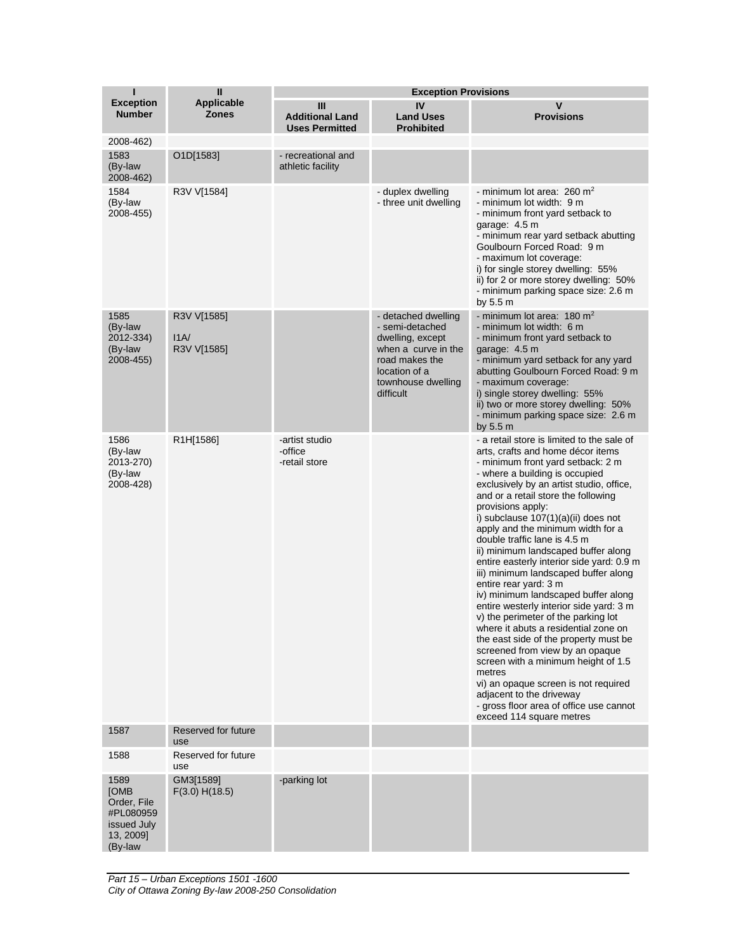| п                                                                                      | $\mathbf{I}$                      | <b>Exception Provisions</b>                          |                                                                                                                                                         |                                                                                                                                                                                                                                                                                                                                                                                                                                                                                                                                                                                                                                                                                                                                                                                                                                                                                                                                                                          |  |
|----------------------------------------------------------------------------------------|-----------------------------------|------------------------------------------------------|---------------------------------------------------------------------------------------------------------------------------------------------------------|--------------------------------------------------------------------------------------------------------------------------------------------------------------------------------------------------------------------------------------------------------------------------------------------------------------------------------------------------------------------------------------------------------------------------------------------------------------------------------------------------------------------------------------------------------------------------------------------------------------------------------------------------------------------------------------------------------------------------------------------------------------------------------------------------------------------------------------------------------------------------------------------------------------------------------------------------------------------------|--|
| <b>Exception</b><br><b>Number</b>                                                      | <b>Applicable</b><br><b>Zones</b> | Ш<br><b>Additional Land</b><br><b>Uses Permitted</b> | IV<br><b>Land Uses</b><br><b>Prohibited</b>                                                                                                             | V<br><b>Provisions</b>                                                                                                                                                                                                                                                                                                                                                                                                                                                                                                                                                                                                                                                                                                                                                                                                                                                                                                                                                   |  |
| 2008-462)                                                                              |                                   |                                                      |                                                                                                                                                         |                                                                                                                                                                                                                                                                                                                                                                                                                                                                                                                                                                                                                                                                                                                                                                                                                                                                                                                                                                          |  |
| 1583<br>(By-law<br>2008-462)                                                           | O1D[1583]                         | - recreational and<br>athletic facility              |                                                                                                                                                         |                                                                                                                                                                                                                                                                                                                                                                                                                                                                                                                                                                                                                                                                                                                                                                                                                                                                                                                                                                          |  |
| 1584<br>(By-law<br>2008-455)                                                           | R3V V[1584]                       |                                                      | - duplex dwelling<br>- three unit dwelling                                                                                                              | - minimum lot area: $260 \text{ m}^2$<br>- minimum lot width: 9 m<br>- minimum front yard setback to<br>garage: 4.5 m<br>- minimum rear yard setback abutting<br>Goulbourn Forced Road: 9 m<br>- maximum lot coverage:<br>i) for single storey dwelling: 55%<br>ii) for 2 or more storey dwelling: 50%<br>- minimum parking space size: 2.6 m<br>by 5.5 m                                                                                                                                                                                                                                                                                                                                                                                                                                                                                                                                                                                                                |  |
| 1585<br>(By-law<br>2012-334)<br>(By-law<br>2008-455)                                   | R3V V[1585]<br>IA/<br>R3V V[1585] |                                                      | - detached dwelling<br>- semi-detached<br>dwelling, except<br>when a curve in the<br>road makes the<br>location of a<br>townhouse dwelling<br>difficult | - minimum lot area: $180 \text{ m}^2$<br>- minimum lot width: 6 m<br>- minimum front yard setback to<br>garage: 4.5 m<br>- minimum yard setback for any yard<br>abutting Goulbourn Forced Road: 9 m<br>- maximum coverage:<br>i) single storey dwelling: 55%<br>ii) two or more storey dwelling: 50%<br>- minimum parking space size: 2.6 m<br>by 5.5 m                                                                                                                                                                                                                                                                                                                                                                                                                                                                                                                                                                                                                  |  |
| 1586<br>(By-law<br>2013-270)<br>(By-law<br>2008-428)                                   | R1H[1586]                         | -artist studio<br>-office<br>-retail store           |                                                                                                                                                         | - a retail store is limited to the sale of<br>arts, crafts and home décor items<br>- minimum front yard setback: 2 m<br>- where a building is occupied<br>exclusively by an artist studio, office,<br>and or a retail store the following<br>provisions apply:<br>i) subclause 107(1)(a)(ii) does not<br>apply and the minimum width for a<br>double traffic lane is 4.5 m<br>ii) minimum landscaped buffer along<br>entire easterly interior side yard: 0.9 m<br>iii) minimum landscaped buffer along<br>entire rear yard: 3 m<br>iv) minimum landscaped buffer along<br>entire westerly interior side yard: 3 m<br>v) the perimeter of the parking lot<br>where it abuts a residential zone on<br>the east side of the property must be<br>screened from view by an opaque<br>screen with a minimum height of 1.5<br>metres<br>vi) an opaque screen is not required<br>adjacent to the driveway<br>- gross floor area of office use cannot<br>exceed 114 square metres |  |
| 1587                                                                                   | Reserved for future<br>use        |                                                      |                                                                                                                                                         |                                                                                                                                                                                                                                                                                                                                                                                                                                                                                                                                                                                                                                                                                                                                                                                                                                                                                                                                                                          |  |
| 1588                                                                                   | Reserved for future<br>use        |                                                      |                                                                                                                                                         |                                                                                                                                                                                                                                                                                                                                                                                                                                                                                                                                                                                                                                                                                                                                                                                                                                                                                                                                                                          |  |
| 1589<br><b>[OMB</b><br>Order, File<br>#PL080959<br>issued July<br>13, 2009]<br>(By-law | GM3[1589]<br>F(3.0) H(18.5)       | -parking lot                                         |                                                                                                                                                         |                                                                                                                                                                                                                                                                                                                                                                                                                                                                                                                                                                                                                                                                                                                                                                                                                                                                                                                                                                          |  |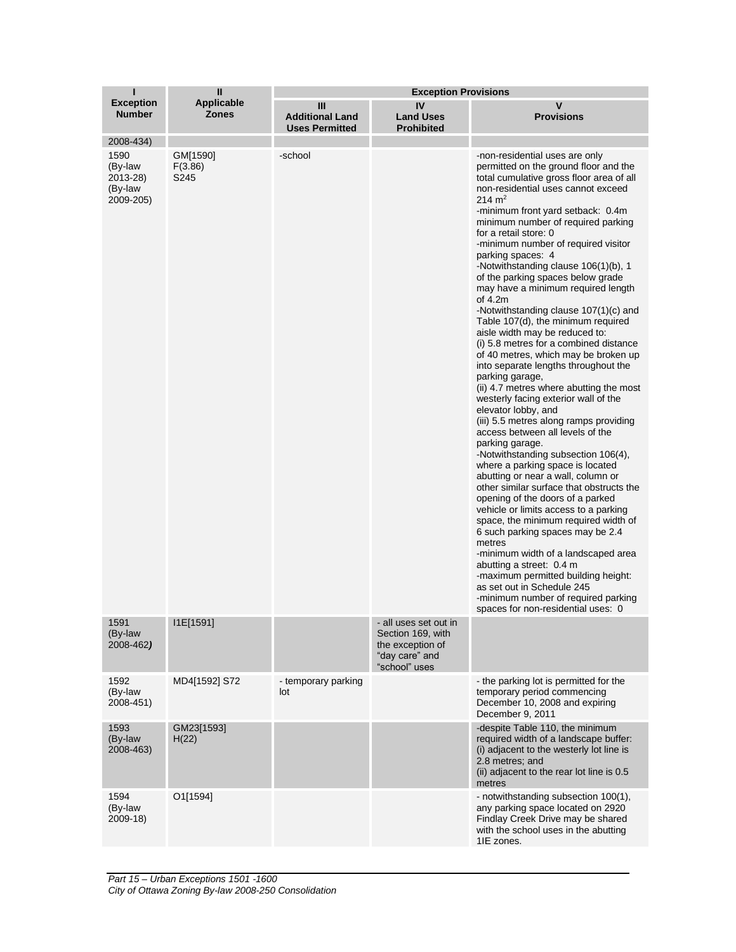|                                                     | $\mathbf{I}$                      | <b>Exception Provisions</b>                          |                                                                                                   |                                                                                                                                                                                                                                                                                                                                                                                                                                                                                                                                                                                                                                                                                                                                                                                                                                                                                                                                                                                                                                                                                                                                                                                                                                                                                                                                                                                                                                                                                                              |
|-----------------------------------------------------|-----------------------------------|------------------------------------------------------|---------------------------------------------------------------------------------------------------|--------------------------------------------------------------------------------------------------------------------------------------------------------------------------------------------------------------------------------------------------------------------------------------------------------------------------------------------------------------------------------------------------------------------------------------------------------------------------------------------------------------------------------------------------------------------------------------------------------------------------------------------------------------------------------------------------------------------------------------------------------------------------------------------------------------------------------------------------------------------------------------------------------------------------------------------------------------------------------------------------------------------------------------------------------------------------------------------------------------------------------------------------------------------------------------------------------------------------------------------------------------------------------------------------------------------------------------------------------------------------------------------------------------------------------------------------------------------------------------------------------------|
| <b>Exception</b><br><b>Number</b>                   | <b>Applicable</b><br><b>Zones</b> | Ш<br><b>Additional Land</b><br><b>Uses Permitted</b> | IV<br><b>Land Uses</b><br><b>Prohibited</b>                                                       | $\mathbf v$<br><b>Provisions</b>                                                                                                                                                                                                                                                                                                                                                                                                                                                                                                                                                                                                                                                                                                                                                                                                                                                                                                                                                                                                                                                                                                                                                                                                                                                                                                                                                                                                                                                                             |
| 2008-434)                                           |                                   |                                                      |                                                                                                   |                                                                                                                                                                                                                                                                                                                                                                                                                                                                                                                                                                                                                                                                                                                                                                                                                                                                                                                                                                                                                                                                                                                                                                                                                                                                                                                                                                                                                                                                                                              |
| 1590<br>(By-law<br>2013-28)<br>(By-law<br>2009-205) | GM[1590]<br>F(3.86)<br>S245       | -school                                              |                                                                                                   | -non-residential uses are only<br>permitted on the ground floor and the<br>total cumulative gross floor area of all<br>non-residential uses cannot exceed<br>$214 \text{ m}^2$<br>-minimum front yard setback: 0.4m<br>minimum number of required parking<br>for a retail store: 0<br>-minimum number of required visitor<br>parking spaces: 4<br>-Notwithstanding clause 106(1)(b), 1<br>of the parking spaces below grade<br>may have a minimum required length<br>of $4.2m$<br>-Notwithstanding clause 107(1)(c) and<br>Table 107(d), the minimum required<br>aisle width may be reduced to:<br>(i) 5.8 metres for a combined distance<br>of 40 metres, which may be broken up<br>into separate lengths throughout the<br>parking garage,<br>(ii) 4.7 metres where abutting the most<br>westerly facing exterior wall of the<br>elevator lobby, and<br>(iii) 5.5 metres along ramps providing<br>access between all levels of the<br>parking garage.<br>-Notwithstanding subsection 106(4),<br>where a parking space is located<br>abutting or near a wall, column or<br>other similar surface that obstructs the<br>opening of the doors of a parked<br>vehicle or limits access to a parking<br>space, the minimum required width of<br>6 such parking spaces may be 2.4<br>metres<br>-minimum width of a landscaped area<br>abutting a street: 0.4 m<br>-maximum permitted building height:<br>as set out in Schedule 245<br>-minimum number of required parking<br>spaces for non-residential uses: 0 |
| 1591<br>(By-law<br>2008-462)                        | I1E[1591]                         |                                                      | - all uses set out in<br>Section 169, with<br>the exception of<br>"day care" and<br>"school" uses |                                                                                                                                                                                                                                                                                                                                                                                                                                                                                                                                                                                                                                                                                                                                                                                                                                                                                                                                                                                                                                                                                                                                                                                                                                                                                                                                                                                                                                                                                                              |
| 1592<br>(By-law<br>2008-451)                        | MD4[1592] S72                     | - temporary parking<br>lot                           |                                                                                                   | - the parking lot is permitted for the<br>temporary period commencing<br>December 10, 2008 and expiring<br>December 9, 2011                                                                                                                                                                                                                                                                                                                                                                                                                                                                                                                                                                                                                                                                                                                                                                                                                                                                                                                                                                                                                                                                                                                                                                                                                                                                                                                                                                                  |
| 1593<br>(By-law<br>2008-463)                        | GM23[1593]<br>H(22)               |                                                      |                                                                                                   | -despite Table 110, the minimum<br>required width of a landscape buffer:<br>(i) adjacent to the westerly lot line is<br>2.8 metres; and<br>(ii) adjacent to the rear lot line is 0.5<br>metres                                                                                                                                                                                                                                                                                                                                                                                                                                                                                                                                                                                                                                                                                                                                                                                                                                                                                                                                                                                                                                                                                                                                                                                                                                                                                                               |
| 1594<br>(By-law<br>2009-18)                         | O1[1594]                          |                                                      |                                                                                                   | - notwithstanding subsection 100(1),<br>any parking space located on 2920<br>Findlay Creek Drive may be shared<br>with the school uses in the abutting<br>1IE zones.                                                                                                                                                                                                                                                                                                                                                                                                                                                                                                                                                                                                                                                                                                                                                                                                                                                                                                                                                                                                                                                                                                                                                                                                                                                                                                                                         |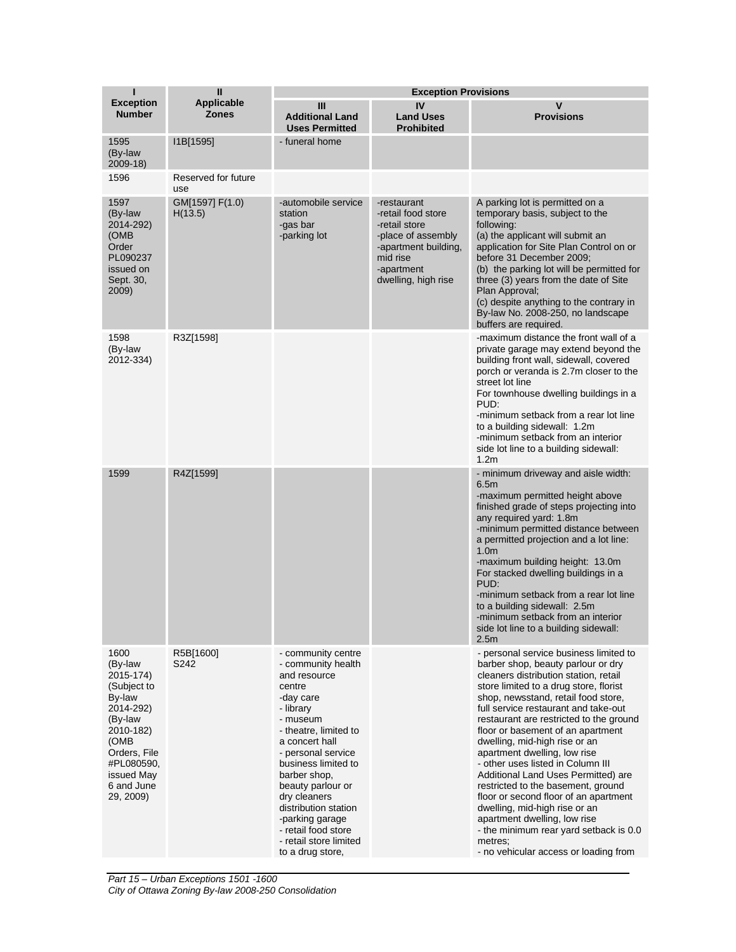| ı                                                                                                                                                                         | Ш                                 | <b>Exception Provisions</b>                                                                                                                                                                                                                                                                                                                                           |                                                                                                                                                   |                                                                                                                                                                                                                                                                                                                                                                                                                                                                                                                                                                                                                                                                                                                           |  |
|---------------------------------------------------------------------------------------------------------------------------------------------------------------------------|-----------------------------------|-----------------------------------------------------------------------------------------------------------------------------------------------------------------------------------------------------------------------------------------------------------------------------------------------------------------------------------------------------------------------|---------------------------------------------------------------------------------------------------------------------------------------------------|---------------------------------------------------------------------------------------------------------------------------------------------------------------------------------------------------------------------------------------------------------------------------------------------------------------------------------------------------------------------------------------------------------------------------------------------------------------------------------------------------------------------------------------------------------------------------------------------------------------------------------------------------------------------------------------------------------------------------|--|
| <b>Exception</b><br><b>Number</b>                                                                                                                                         | <b>Applicable</b><br><b>Zones</b> | Ш<br><b>Additional Land</b><br><b>Uses Permitted</b>                                                                                                                                                                                                                                                                                                                  | IV<br><b>Land Uses</b><br><b>Prohibited</b>                                                                                                       | $\mathsf{V}$<br><b>Provisions</b>                                                                                                                                                                                                                                                                                                                                                                                                                                                                                                                                                                                                                                                                                         |  |
| 1595<br>(By-law<br>$2009-18$                                                                                                                                              | I1B[1595]                         | - funeral home                                                                                                                                                                                                                                                                                                                                                        |                                                                                                                                                   |                                                                                                                                                                                                                                                                                                                                                                                                                                                                                                                                                                                                                                                                                                                           |  |
| 1596                                                                                                                                                                      | Reserved for future<br>use        |                                                                                                                                                                                                                                                                                                                                                                       |                                                                                                                                                   |                                                                                                                                                                                                                                                                                                                                                                                                                                                                                                                                                                                                                                                                                                                           |  |
| 1597<br>(By-law<br>2014-292)<br>(OMB)<br>Order<br>PL090237<br>issued on<br>Sept. 30,<br>2009)                                                                             | GM[1597] F(1.0)<br>H(13.5)        | -automobile service<br>station<br>-gas bar<br>-parking lot                                                                                                                                                                                                                                                                                                            | -restaurant<br>-retail food store<br>-retail store<br>-place of assembly<br>-apartment building,<br>mid rise<br>-apartment<br>dwelling, high rise | A parking lot is permitted on a<br>temporary basis, subject to the<br>following:<br>(a) the applicant will submit an<br>application for Site Plan Control on or<br>before 31 December 2009:<br>(b) the parking lot will be permitted for<br>three (3) years from the date of Site<br>Plan Approval;<br>(c) despite anything to the contrary in<br>By-law No. 2008-250, no landscape<br>buffers are required.                                                                                                                                                                                                                                                                                                              |  |
| 1598<br>(By-law<br>2012-334)                                                                                                                                              | R3Z[1598]                         |                                                                                                                                                                                                                                                                                                                                                                       |                                                                                                                                                   | -maximum distance the front wall of a<br>private garage may extend beyond the<br>building front wall, sidewall, covered<br>porch or veranda is 2.7m closer to the<br>street lot line<br>For townhouse dwelling buildings in a<br>PUD:<br>-minimum setback from a rear lot line<br>to a building sidewall: 1.2m<br>-minimum setback from an interior<br>side lot line to a building sidewall:<br>1.2 <sub>m</sub>                                                                                                                                                                                                                                                                                                          |  |
| 1599                                                                                                                                                                      | R4Z[1599]                         |                                                                                                                                                                                                                                                                                                                                                                       |                                                                                                                                                   | - minimum driveway and aisle width:<br>6.5m<br>-maximum permitted height above<br>finished grade of steps projecting into<br>any required yard: 1.8m<br>-minimum permitted distance between<br>a permitted projection and a lot line:<br>1.0 <sub>m</sub><br>-maximum building height: 13.0m<br>For stacked dwelling buildings in a<br>PUD:<br>-minimum setback from a rear lot line<br>to a building sidewall: 2.5m<br>-minimum setback from an interior<br>side lot line to a building sidewall:<br>2.5m                                                                                                                                                                                                                |  |
| 1600<br>(By-law<br>2015-174)<br>(Subject to<br>By-law<br>2014-292)<br>(By-law<br>2010-182)<br>(OMB<br>Orders, File<br>#PL080590,<br>issued May<br>6 and June<br>29, 2009) | R5B[1600]<br>S242                 | - community centre<br>- community health<br>and resource<br>centre<br>-day care<br>- library<br>- museum<br>- theatre, limited to<br>a concert hall<br>- personal service<br>business limited to<br>barber shop.<br>beauty parlour or<br>dry cleaners<br>distribution station<br>-parking garage<br>- retail food store<br>- retail store limited<br>to a drug store, |                                                                                                                                                   | - personal service business limited to<br>barber shop, beauty parlour or dry<br>cleaners distribution station, retail<br>store limited to a drug store, florist<br>shop, newsstand, retail food store,<br>full service restaurant and take-out<br>restaurant are restricted to the ground<br>floor or basement of an apartment<br>dwelling, mid-high rise or an<br>apartment dwelling, low rise<br>- other uses listed in Column III<br>Additional Land Uses Permitted) are<br>restricted to the basement, ground<br>floor or second floor of an apartment<br>dwelling, mid-high rise or an<br>apartment dwelling, low rise<br>- the minimum rear yard setback is 0.0<br>metres;<br>- no vehicular access or loading from |  |